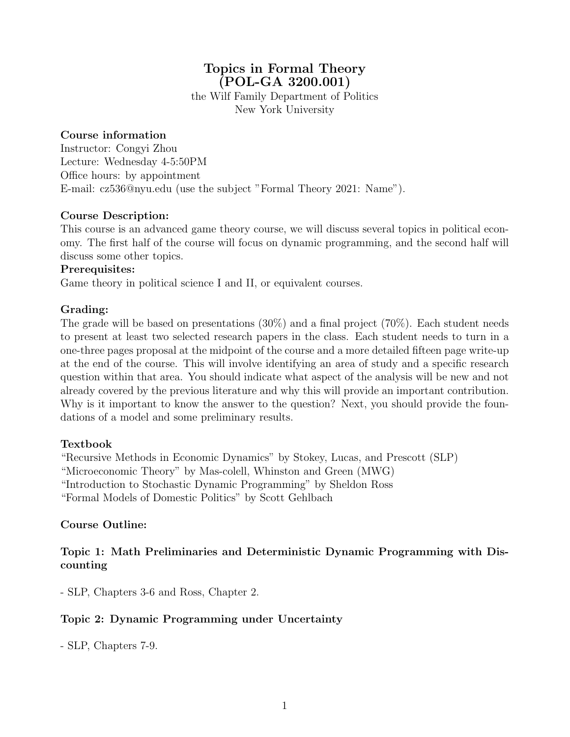# Topics in Formal Theory (POL-GA 3200.001)

the Wilf Family Department of Politics New York University

### Course information

Instructor: Congyi Zhou Lecture: Wednesday 4-5:50PM Office hours: by appointment E-mail: cz536@nyu.edu (use the subject "Formal Theory 2021: Name").

#### Course Description:

This course is an advanced game theory course, we will discuss several topics in political economy. The first half of the course will focus on dynamic programming, and the second half will discuss some other topics.

#### Prerequisites:

Game theory in political science I and II, or equivalent courses.

#### Grading:

The grade will be based on presentations (30%) and a final project (70%). Each student needs to present at least two selected research papers in the class. Each student needs to turn in a one-three pages proposal at the midpoint of the course and a more detailed fifteen page write-up at the end of the course. This will involve identifying an area of study and a specific research question within that area. You should indicate what aspect of the analysis will be new and not already covered by the previous literature and why this will provide an important contribution. Why is it important to know the answer to the question? Next, you should provide the foundations of a model and some preliminary results.

#### Textbook

"Recursive Methods in Economic Dynamics" by Stokey, Lucas, and Prescott (SLP) "Microeconomic Theory" by Mas-colell, Whinston and Green (MWG) "Introduction to Stochastic Dynamic Programming" by Sheldon Ross "Formal Models of Domestic Politics" by Scott Gehlbach

#### Course Outline:

### Topic 1: Math Preliminaries and Deterministic Dynamic Programming with Discounting

- SLP, Chapters 3-6 and Ross, Chapter 2.

## Topic 2: Dynamic Programming under Uncertainty

- SLP, Chapters 7-9.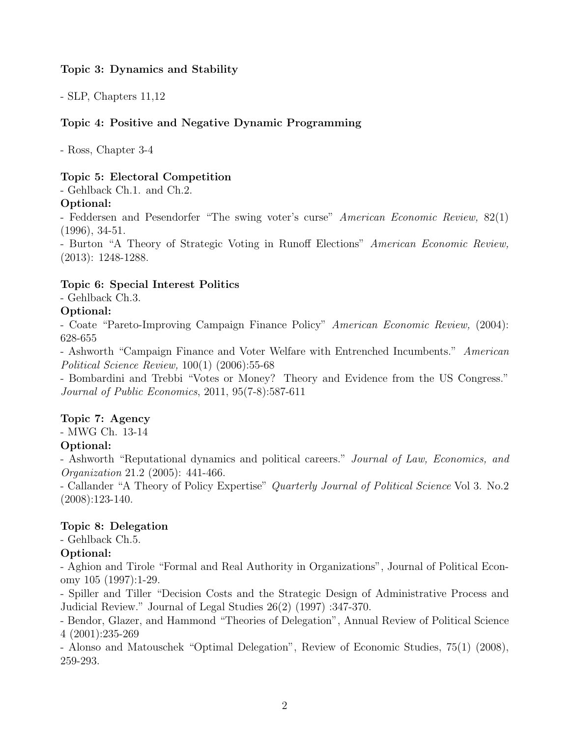#### Topic 3: Dynamics and Stability

- SLP, Chapters 11,12

### Topic 4: Positive and Negative Dynamic Programming

- Ross, Chapter 3-4

#### Topic 5: Electoral Competition

- Gehlback Ch.1. and Ch.2.

#### Optional:

- Feddersen and Pesendorfer "The swing voter's curse" American Economic Review, 82(1) (1996), 34-51.

- Burton "A Theory of Strategic Voting in Runoff Elections" American Economic Review, (2013): 1248-1288.

## Topic 6: Special Interest Politics

- Gehlback Ch.3.

### Optional:

- Coate "Pareto-Improving Campaign Finance Policy" American Economic Review, (2004): 628-655

- Ashworth "Campaign Finance and Voter Welfare with Entrenched Incumbents." American Political Science Review, 100(1) (2006):55-68

- Bombardini and Trebbi "Votes or Money? Theory and Evidence from the US Congress." Journal of Public Economics, 2011, 95(7-8):587-611

## Topic 7: Agency

- MWG Ch. 13-14

#### Optional:

- Ashworth "Reputational dynamics and political careers." Journal of Law, Economics, and Organization 21.2 (2005): 441-466.

- Callander "A Theory of Policy Expertise" *Quarterly Journal of Political Science* Vol 3. No.2 (2008):123-140.

#### Topic 8: Delegation

- Gehlback Ch.5.

#### Optional:

- Aghion and Tirole "Formal and Real Authority in Organizations", Journal of Political Economy 105 (1997):1-29.

- Spiller and Tiller "Decision Costs and the Strategic Design of Administrative Process and Judicial Review." Journal of Legal Studies 26(2) (1997) :347-370.

- Bendor, Glazer, and Hammond "Theories of Delegation", Annual Review of Political Science 4 (2001):235-269

- Alonso and Matouschek "Optimal Delegation", Review of Economic Studies, 75(1) (2008), 259-293.